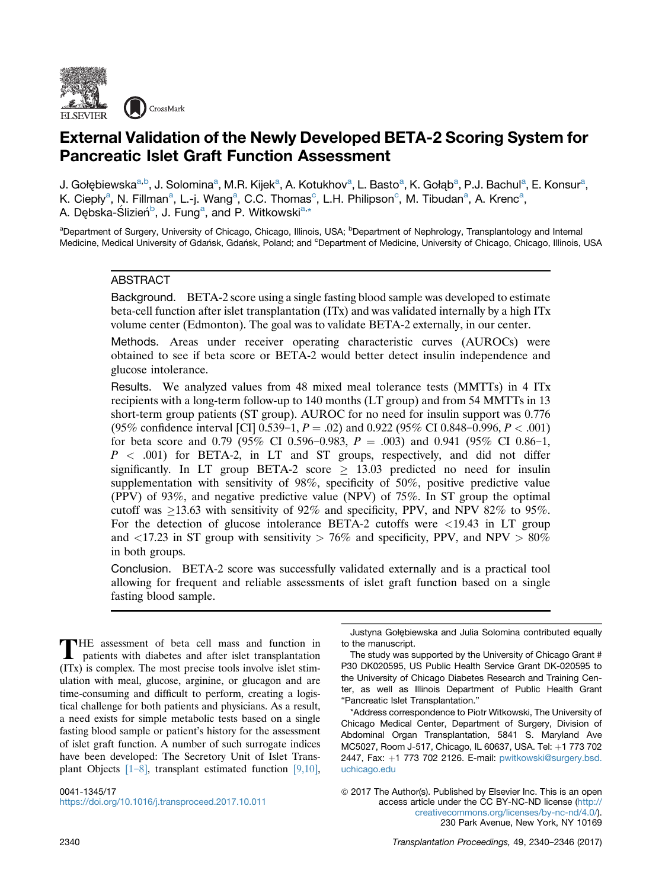

# External Validation of the Newly Developed BETA-2 Scoring System for Pancreatic Islet Graft Function Assessment

J. Gołębiewska<sup>a,b</sup>, J. Solomina<sup>a</sup>, M.R. Kijek<sup>a</sup>, A. Kotukhov<sup>a</sup>, L. Basto<sup>a</sup>, K. Gołąb<sup>a</sup>, P.J. Bachul<sup>a</sup>, E. Konsur<sup>a</sup>, K. Ciepły<sup>a</sup>, N. Fillman<sup>a</sup>, L.-j. Wang<sup>a</sup>, C.C. Thomas<sup>c</sup>, L.H. Philipson<sup>c</sup>, M. Tibudan<sup>a</sup>, A. Krenc<sup>a</sup>, A. Dębska-Ślizień<sup>b</sup>, J. Fung<sup>a</sup>, and P. Witkowski<sup>a,\*</sup>

<sup>a</sup>Department of Surgery, University of Chicago, Chicago, Illinois, USA; <sup>b</sup>Department of Nephrology, Transplantology and Internal Medicine, Medical University of Gdańsk, Gdańsk, Poland; and <sup>c</sup>Department of Medicine, University of Chicago, Chicago, Illinois, USA

## ABSTRACT

Background. BETA-2 score using a single fasting blood sample was developed to estimate beta-cell function after islet transplantation (ITx) and was validated internally by a high ITx volume center (Edmonton). The goal was to validate BETA-2 externally, in our center.

Methods. Areas under receiver operating characteristic curves (AUROCs) were obtained to see if beta score or BETA-2 would better detect insulin independence and glucose intolerance.

Results. We analyzed values from 48 mixed meal tolerance tests (MMTTs) in 4 ITx recipients with a long-term follow-up to 140 months (LT group) and from 54 MMTTs in 13 short-term group patients (ST group). AUROC for no need for insulin support was 0.776 (95% confidence interval [CI] 0.539-1,  $P = .02$ ) and 0.922 (95% CI 0.848-0.996,  $P < .001$ ) for beta score and 0.79 (95% CI 0.596–0.983,  $P = .003$ ) and 0.941 (95% CI 0.86–1,  $P \leq .001$ ) for BETA-2, in LT and ST groups, respectively, and did not differ significantly. In LT group BETA-2 score  $\geq$  13.03 predicted no need for insulin supplementation with sensitivity of 98%, specificity of 50%, positive predictive value (PPV) of 93%, and negative predictive value (NPV) of 75%. In ST group the optimal cutoff was  $\geq$ 13.63 with sensitivity of 92% and specificity, PPV, and NPV 82% to 95%. For the detection of glucose intolerance BETA-2 cutoffs were <19.43 in LT group and  $\langle 17.23 \text{ in ST group with sensitivity} > 76\%$  and specificity, PPV, and NPV  $> 80\%$ in both groups.

Conclusion. BETA-2 score was successfully validated externally and is a practical tool allowing for frequent and reliable assessments of islet graft function based on a single fasting blood sample.

THE assessment of beta cell mass and function in patients with diabetes and after islet transplantation (ITx) is complex. The most precise tools involve islet stimulation with meal, glucose, arginine, or glucagon and are time-consuming and difficult to perform, creating a logistical challenge for both patients and physicians. As a result, a need exists for simple metabolic tests based on a single fasting blood sample or patient's history for the assessment of islet graft function. A number of such surrogate indices have been developed: The Secretory Unit of Islet Transplant Objects  $[1-8]$  $[1-8]$ , transplant estimated function  $[9,10]$ ,

0041-1345/17 <https://doi.org/10.1016/j.transproceed.2017.10.011>

Justyna Gołębiewska and Julia Solomina contributed equally to the manuscript.

The study was supported by the University of Chicago Grant # P30 DK020595, US Public Health Service Grant DK-020595 to the University of Chicago Diabetes Research and Training Center, as well as Illinois Department of Public Health Grant "Pancreatic Islet Transplantation."

\*Address correspondence to Piotr Witkowski, The University of Chicago Medical Center, Department of Surgery, Division of Abdominal Organ Transplantation, 5841 S. Maryland Ave MC5027, Room J-517, Chicago, IL 60637, USA. Tel: +1 773 702 2447, Fax: +1 773 702 2126. E-mail: [pwitkowski@surgery.bsd.](mailto:pwitkowski@surgery.bsd.uchicago.edu) [uchicago.edu](mailto:pwitkowski@surgery.bsd.uchicago.edu)

© 2017 The Author(s). Published by Elsevier Inc. This is an open access article under the CC BY-NC-ND license ([http://](http://creativecommons.org/licenses/by-nc-nd/4.0/) [creativecommons.org/licenses/by-nc-nd/4.0/\)](http://creativecommons.org/licenses/by-nc-nd/4.0/). 230 Park Avenue, New York, NY 10169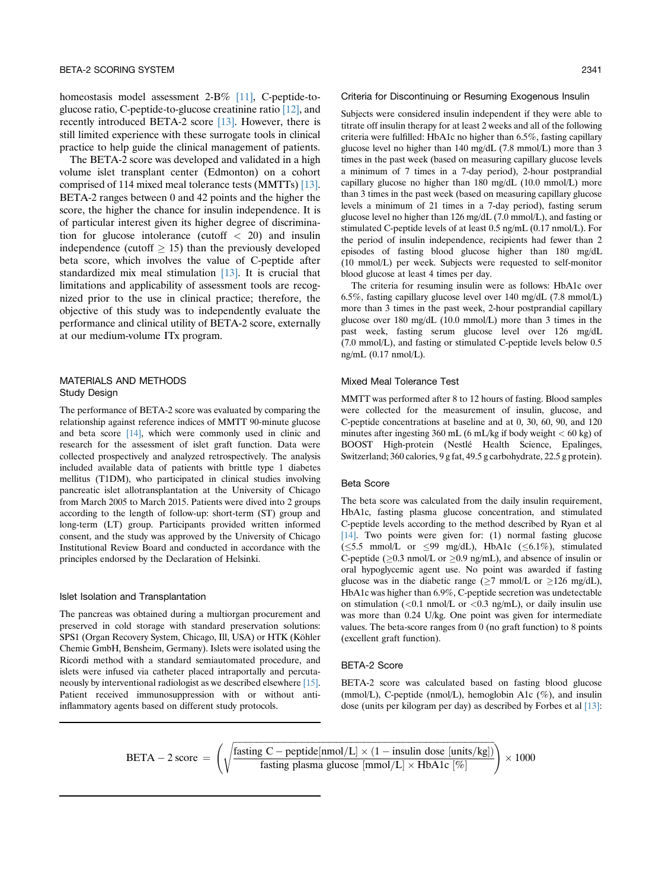homeostasis model assessment 2-B% [\[11\]](#page-6-0), C-peptide-toglucose ratio, C-peptide-to-glucose creatinine ratio [\[12\],](#page-6-0) and recently introduced BETA-2 score [\[13\]](#page-6-0). However, there is still limited experience with these surrogate tools in clinical practice to help guide the clinical management of patients.

The BETA-2 score was developed and validated in a high volume islet transplant center (Edmonton) on a cohort comprised of 114 mixed meal tolerance tests (MMTTs) [\[13\].](#page-6-0) BETA-2 ranges between 0 and 42 points and the higher the score, the higher the chance for insulin independence. It is of particular interest given its higher degree of discrimination for glucose intolerance (cutoff  $\langle 20 \rangle$  and insulin independence (cutoff  $\geq$  15) than the previously developed beta score, which involves the value of C-peptide after standardized mix meal stimulation  $[13]$ . It is crucial that limitations and applicability of assessment tools are recognized prior to the use in clinical practice; therefore, the objective of this study was to independently evaluate the performance and clinical utility of BETA-2 score, externally at our medium-volume ITx program.

## MATERIALS AND METHODS Study Design

The performance of BETA-2 score was evaluated by comparing the relationship against reference indices of MMTT 90-minute glucose and beta score [\[14\]](#page-6-0), which were commonly used in clinic and research for the assessment of islet graft function. Data were collected prospectively and analyzed retrospectively. The analysis included available data of patients with brittle type 1 diabetes mellitus (T1DM), who participated in clinical studies involving pancreatic islet allotransplantation at the University of Chicago from March 2005 to March 2015. Patients were dived into 2 groups according to the length of follow-up: short-term (ST) group and long-term (LT) group. Participants provided written informed consent, and the study was approved by the University of Chicago Institutional Review Board and conducted in accordance with the principles endorsed by the Declaration of Helsinki.

#### Islet Isolation and Transplantation

The pancreas was obtained during a multiorgan procurement and preserved in cold storage with standard preservation solutions: SPS1 (Organ Recovery System, Chicago, Ill, USA) or HTK (Köhler Chemie GmbH, Bensheim, Germany). Islets were isolated using the Ricordi method with a standard semiautomated procedure, and islets were infused via catheter placed intraportally and percutaneously by interventional radiologist as we described elsewhere [\[15\]](#page-6-0). Patient received immunosuppression with or without antiinflammatory agents based on different study protocols.

#### Criteria for Discontinuing or Resuming Exogenous Insulin

Subjects were considered insulin independent if they were able to titrate off insulin therapy for at least 2 weeks and all of the following criteria were fulfilled: HbA1c no higher than 6.5%, fasting capillary glucose level no higher than 140 mg/dL (7.8 mmol/L) more than 3 times in the past week (based on measuring capillary glucose levels a minimum of 7 times in a 7-day period), 2-hour postprandial capillary glucose no higher than 180 mg/dL (10.0 mmol/L) more than 3 times in the past week (based on measuring capillary glucose levels a minimum of 21 times in a 7-day period), fasting serum glucose level no higher than 126 mg/dL (7.0 mmol/L), and fasting or stimulated C-peptide levels of at least 0.5 ng/mL (0.17 nmol/L). For the period of insulin independence, recipients had fewer than 2 episodes of fasting blood glucose higher than 180 mg/dL (10 mmol/L) per week. Subjects were requested to self-monitor blood glucose at least 4 times per day.

The criteria for resuming insulin were as follows: HbA1c over 6.5%, fasting capillary glucose level over 140 mg/dL (7.8 mmol/L) more than 3 times in the past week, 2-hour postprandial capillary glucose over 180 mg/dL (10.0 mmol/L) more than 3 times in the past week, fasting serum glucose level over 126 mg/dL (7.0 mmol/L), and fasting or stimulated C-peptide levels below 0.5 ng/mL (0.17 nmol/L).

## Mixed Meal Tolerance Test

MMTT was performed after 8 to 12 hours of fasting. Blood samples were collected for the measurement of insulin, glucose, and C-peptide concentrations at baseline and at 0, 30, 60, 90, and 120 minutes after ingesting 360 mL (6 mL/kg if body weight < 60 kg) of BOOST High-protein (Nestlé Health Science, Epalinges, Switzerland; 360 calories, 9 g fat, 49.5 g carbohydrate, 22.5 g protein).

## Beta Score

The beta score was calculated from the daily insulin requirement, HbA1c, fasting plasma glucose concentration, and stimulated C-peptide levels according to the method described by Ryan et al [\[14\]](#page-6-0). Two points were given for: (1) normal fasting glucose  $(\leq 5.5 \text{ mmol/L or } \leq 99 \text{ mg/dL}), \text{ HbA1c } (\leq 6.1\%), \text{ stimulated}$ C-peptide ( $\geq$ 0.3 nmol/L or  $\geq$ 0.9 ng/mL), and absence of insulin or oral hypoglycemic agent use. No point was awarded if fasting glucose was in the diabetic range ( $\geq$ 7 mmol/L or  $\geq$ 126 mg/dL), HbA1c was higher than 6.9%, C-peptide secretion was undetectable on stimulation  $\langle 0.1 \text{ nmol/L} \text{ or } 0.3 \text{ ng/mL} \rangle$ , or daily insulin use was more than 0.24 U/kg. One point was given for intermediate values. The beta-score ranges from 0 (no graft function) to 8 points (excellent graft function).

## BETA-2 Score

BETA-2 score was calculated based on fasting blood glucose (mmol/L), C-peptide (nmol/L), hemoglobin A1c (%), and insulin dose (units per kilogram per day) as described by Forbes et al [\[13\]:](#page-6-0)

BETA – 2 score = 
$$
\left(\sqrt{\frac{\text{fasting C} - \text{peptide}[\text{nmol/L}] \times (1 - \text{insulin dose} [\text{units/kg}])}{\text{fasting plasma glucose} [\text{mmol/L}] \times \text{HbA1c} [\%]} \right) \times 1000
$$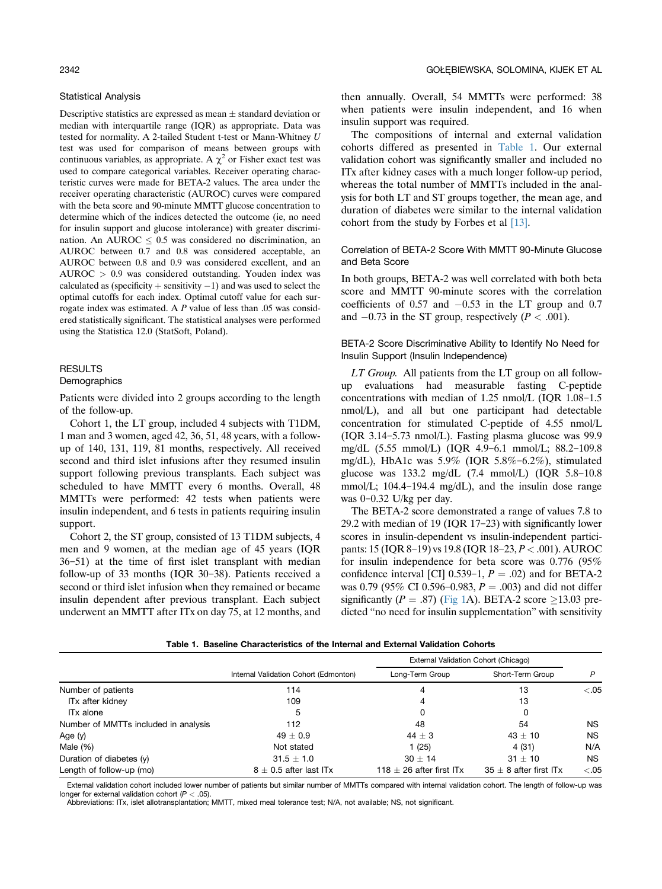#### Statistical Analysis

Descriptive statistics are expressed as mean  $\pm$  standard deviation or median with interquartile range (IQR) as appropriate. Data was tested for normality. A 2-tailed Student t-test or Mann-Whitney U test was used for comparison of means between groups with continuous variables, as appropriate. A  $\chi^2$  or Fisher exact test was used to compare categorical variables. Receiver operating characteristic curves were made for BETA-2 values. The area under the receiver operating characteristic (AUROC) curves were compared with the beta score and 90-minute MMTT glucose concentration to determine which of the indices detected the outcome (ie, no need for insulin support and glucose intolerance) with greater discrimination. An AUROC  $< 0.5$  was considered no discrimination, an AUROC between 0.7 and 0.8 was considered acceptable, an AUROC between 0.8 and 0.9 was considered excellent, and an AUROC > 0.9 was considered outstanding. Youden index was calculated as (specificity  $+$  sensitivity  $-1$ ) and was used to select the optimal cutoffs for each index. Optimal cutoff value for each surrogate index was estimated. A  $P$  value of less than .05 was considered statistically significant. The statistical analyses were performed using the Statistica 12.0 (StatSoft, Poland).

## **RESULTS Demographics**

Patients were divided into 2 groups according to the length

of the follow-up. Cohort 1, the LT group, included 4 subjects with T1DM, 1 man and 3 women, aged 42, 36, 51, 48 years, with a followup of 140, 131, 119, 81 months, respectively. All received second and third islet infusions after they resumed insulin support following previous transplants. Each subject was scheduled to have MMTT every 6 months. Overall, 48 MMTTs were performed: 42 tests when patients were insulin independent, and 6 tests in patients requiring insulin support.

Cohort 2, the ST group, consisted of 13 T1DM subjects, 4 men and 9 women, at the median age of 45 years (IQR  $36-51$ ) at the time of first islet transplant with median follow-up of 33 months (IQR  $30-38$ ). Patients received a second or third islet infusion when they remained or became insulin dependent after previous transplant. Each subject underwent an MMTT after ITx on day 75, at 12 months, and

then annually. Overall, 54 MMTTs were performed: 38 when patients were insulin independent, and 16 when insulin support was required.

The compositions of internal and external validation cohorts differed as presented in Table 1. Our external validation cohort was significantly smaller and included no ITx after kidney cases with a much longer follow-up period, whereas the total number of MMTTs included in the analysis for both LT and ST groups together, the mean age, and duration of diabetes were similar to the internal validation cohort from the study by Forbes et al [\[13\]](#page-6-0).

Correlation of BETA-2 Score With MMTT 90-Minute Glucose and Beta Score

In both groups, BETA-2 was well correlated with both beta score and MMTT 90-minute scores with the correlation coefficients of  $0.57$  and  $-0.53$  in the LT group and 0.7 and  $-0.73$  in the ST group, respectively ( $P < .001$ ).

BETA-2 Score Discriminative Ability to Identify No Need for Insulin Support (Insulin Independence)

LT Group. All patients from the LT group on all followup evaluations had measurable fasting C-peptide concentrations with median of  $1.25 \text{ nmol/L}$  (IQR  $1.08-1.5$ ) nmol/L), and all but one participant had detectable concentration for stimulated C-peptide of 4.55 nmol/L (IQR  $3.14-5.73$  nmol/L). Fasting plasma glucose was 99.9 mg/dL (5.55 mmol/L) (IQR 4.9-6.1 mmol/L; 88.2-109.8 mg/dL), HbA1c was  $5.9\%$  (IQR  $5.8\%$ -6.2%), stimulated glucose was  $133.2 \text{ mg/dL}$  (7.4 mmol/L) (IQR  $5.8-10.8$ mmol/L;  $104.4-194.4$  mg/dL), and the insulin dose range was  $0-0.32$  U/kg per day.

The BETA-2 score demonstrated a range of values 7.8 to 29.2 with median of 19 (IQR  $17-23$ ) with significantly lower scores in insulin-dependent vs insulin-independent participants: 15 (IQR 8-19) vs 19.8 (IQR 18-23, P < .001). AUROC for insulin independence for beta score was 0.776 (95% confidence interval [CI] 0.539-1,  $P = .02$ ) and for BETA-2 was 0.79 (95% CI 0.596–0.983,  $P = .003$ ) and did not differ significantly ( $P = .87$ ) [\(Fig 1A](#page-3-0)). BETA-2 score  $\geq$ 13.03 predicted "no need for insulin supplementation" with sensitivity

|  |  |  | Table 1. Baseline Characteristics of the Internal and External Validation Cohorts |  |  |  |  |  |
|--|--|--|-----------------------------------------------------------------------------------|--|--|--|--|--|
|--|--|--|-----------------------------------------------------------------------------------|--|--|--|--|--|

|                                      |                                       | External Validation Cohort (Chicago) |                            |           |
|--------------------------------------|---------------------------------------|--------------------------------------|----------------------------|-----------|
|                                      | Internal Validation Cohort (Edmonton) | Long-Term Group                      | Short-Term Group           | P         |
| Number of patients                   | 114                                   | 4                                    | 13                         | $-.05$    |
| ITx after kidney                     | 109                                   | 4                                    | 13                         |           |
| IT <sub>x</sub> alone                | 5                                     | 0                                    | 0                          |           |
| Number of MMTTs included in analysis | 112                                   | 48                                   | 54                         | <b>NS</b> |
| Age (y)                              | $49 + 0.9$                            | $44 \pm 3$                           | $43 \pm 10$                | <b>NS</b> |
| Male $(\%)$                          | Not stated                            | 1(25)                                | 4(31)                      | N/A       |
| Duration of diabetes (y)             | $31.5 \pm 1.0$                        | $30 + 14$                            | $31 + 10$                  | NS.       |
| Length of follow-up (mo)             | $8 \pm 0.5$ after last ITx            | 118 $\pm$ 26 after first ITx         | 35 $\pm$ 8 after first ITx | $-.05$    |

External validation cohort included lower number of patients but similar number of MMTTs compared with internal validation cohort. The length of follow-up was longer for external validation cohort  $(P < .05)$ .

Abbreviations: ITx, islet allotransplantation; MMTT, mixed meal tolerance test; N/A, not available; NS, not significant.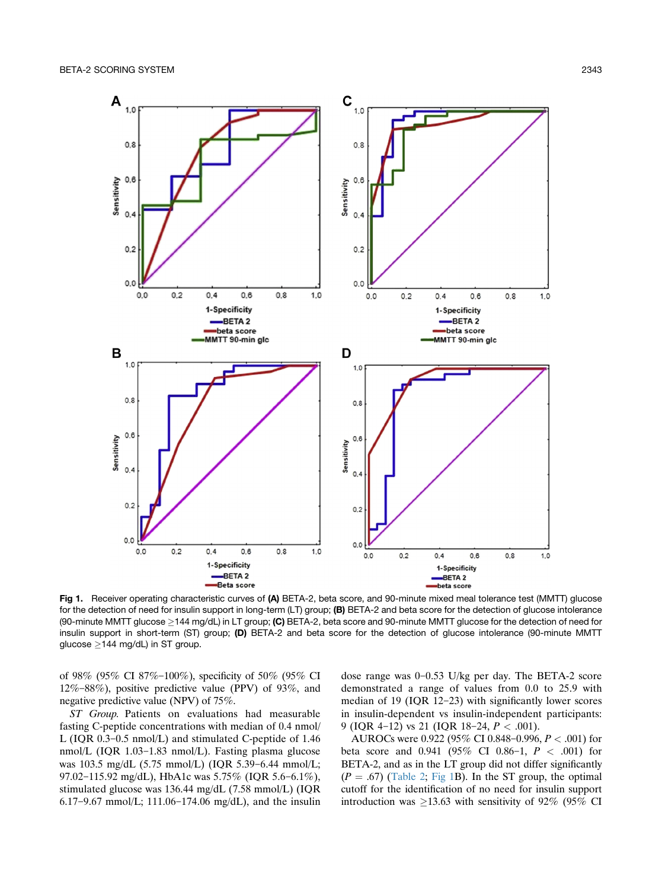<span id="page-3-0"></span>

Fig 1. Receiver operating characteristic curves of (A) BETA-2, beta score, and 90-minute mixed meal tolerance test (MMTT) glucose for the detection of need for insulin support in long-term (LT) group; (B) BETA-2 and beta score for the detection of glucose intolerance (90-minute MMTT glucose  $\geq$ 144 mg/dL) in LT group; **(C)** BETA-2, beta score and 90-minute MMTT glucose for the detection of need for insulin support in short-term (ST) group; (D) BETA-2 and beta score for the detection of glucose intolerance (90-minute MMTT glucose  $\geq$ 144 mg/dL) in ST group.

of 98% (95% CI 87%-100%), specificity of 50% (95% CI  $12\% - 88\%$ ), positive predictive value (PPV) of 93%, and negative predictive value (NPV) of 75%.

ST Group. Patients on evaluations had measurable fasting C-peptide concentrations with median of 0.4 nmol/ L (IQR  $0.3-0.5$  nmol/L) and stimulated C-peptide of 1.46 nmol/L (IQR  $1.03-1.83$  nmol/L). Fasting plasma glucose was  $103.5 \text{ mg/dL}$  (5.75 mmol/L) (IQR 5.39-6.44 mmol/L; 97.02-115.92 mg/dL), HbA1c was 5.75% (IQR 5.6-6.1%), stimulated glucose was 136.44 mg/dL (7.58 mmol/L) (IQR 6.17-9.67 mmol/L; 111.06-174.06 mg/dL), and the insulin

dose range was  $0-0.53$  U/kg per day. The BETA-2 score demonstrated a range of values from 0.0 to 25.9 with median of 19 (IQR 12-23) with significantly lower scores in insulin-dependent vs insulin-independent participants: 9 (IQR 4-12) vs 21 (IQR 18-24,  $P < .001$ ).

AUROCs were 0.922 (95% CI 0.848-0.996,  $P < .001$ ) for beta score and 0.941 (95% CI 0.86-1,  $P < .001$ ) for BETA-2, and as in the LT group did not differ significantly  $(P = .67)$  [\(Table 2;](#page-4-0) Fig 1B). In the ST group, the optimal cutoff for the identification of no need for insulin support introduction was  $\geq$ 13.63 with sensitivity of 92% (95% CI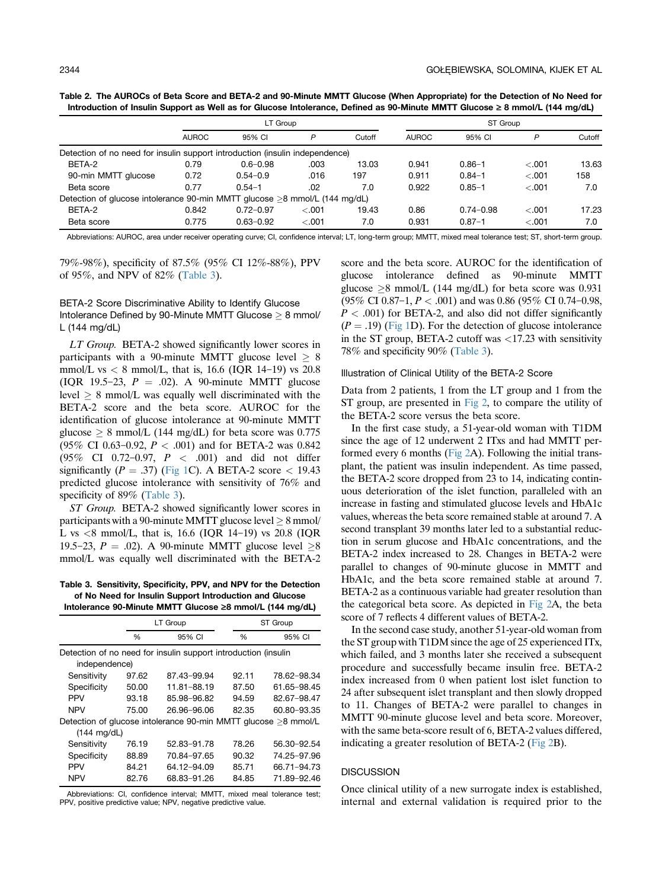<span id="page-4-0"></span>Table 2. The AUROCs of Beta Score and BETA-2 and 90-Minute MMTT Glucose (When Appropriate) for the Detection of No Need for Introduction of Insulin Support as Well as for Glucose Intolerance, Defined as 90-Minute MMTT Glucose ≥ 8 mmol/L (144 mg/dL)

|                                                                              |              | LT Group      |         |        |              | ST Group      |         |        |  |
|------------------------------------------------------------------------------|--------------|---------------|---------|--------|--------------|---------------|---------|--------|--|
|                                                                              | <b>AUROC</b> | 95% CI        | P       | Cutoff | <b>AUROC</b> | 95% CI        | P       | Cutoff |  |
| Detection of no need for insulin support introduction (insulin independence) |              |               |         |        |              |               |         |        |  |
| BETA-2                                                                       | 0.79         | $0.6 - 0.98$  | .003    | 13.03  | 0.941        | $0.86 - 1$    | < 0.01  | 13.63  |  |
| 90-min MMTT glucose                                                          | 0.72         | $0.54 - 0.9$  | .016    | 197    | 0.911        | $0.84 - 1$    | $-.001$ | 158    |  |
| Beta score                                                                   | 0.77         | $0.54 - 1$    | .02     | 7.0    | 0.922        | $0.85 - 1$    | $-.001$ | 7.0    |  |
| Detection of glucose intolerance 90-min MMTT glucose >8 mmol/L (144 mg/dL)   |              |               |         |        |              |               |         |        |  |
| BETA-2                                                                       | 0.842        | $0.72 - 0.97$ | < 0.001 | 19.43  | 0.86         | $0.74 - 0.98$ | $-.001$ | 17.23  |  |
| Beta score                                                                   | 0.775        | $0.63 - 0.92$ | $-.001$ | 7.0    | 0.931        | $0.87 - 1$    | $-.001$ | 7.0    |  |

Abbreviations: AUROC, area under receiver operating curve; CI, confidence interval; LT, long-term group; MMTT, mixed meal tolerance test; ST, short-term group.

79%-98%), specificity of 87.5% (95% CI 12%-88%), PPV of 95%, and NPV of 82% (Table 3).

## BETA-2 Score Discriminative Ability to Identify Glucose Intolerance Defined by 90-Minute MMTT Glucose  $\geq 8$  mmol/ L (144 mg/dL)

LT Group. BETA-2 showed significantly lower scores in participants with a 90-minute MMTT glucose level  $\geq 8$ mmol/L vs  $< 8$  mmol/L, that is, 16.6 (IQR 14-19) vs 20.8 (IOR 19.5–23,  $P = .02$ ). A 90-minute MMTT glucose  $\text{level } \geq 8 \text{ mmol/L}$  was equally well discriminated with the BETA-2 score and the beta score. AUROC for the identification of glucose intolerance at 90-minute MMTT glucose  $\geq 8$  mmol/L (144 mg/dL) for beta score was 0.775 (95% CI 0.63-0.92,  $P < .001$ ) and for BETA-2 was 0.842 (95% CI 0.72-0.97,  $P < .001$ ) and did not differ significantly ( $P = .37$ ) ([Fig 1C](#page-3-0)). A BETA-2 score < 19.43 predicted glucose intolerance with sensitivity of 76% and specificity of 89% (Table 3).

ST Group. BETA-2 showed significantly lower scores in participants with a 90-minute MMTT glucose level  $\geq 8$  mmol/ L vs  $\lt 8$  mmol/L, that is, 16.6 (IQR 14-19) vs 20.8 (IQR 19.5–23,  $P = .02$ ). A 90-minute MMTT glucose level  $\geq 8$ mmol/L was equally well discriminated with the BETA-2

Table 3. Sensitivity, Specificity, PPV, and NPV for the Detection of No Need for Insulin Support Introduction and Glucose Intolerance 90-Minute MMTT Glucose ‡8 mmol/L (144 mg/dL)

|                                                                                 |       | LT Group    |       | ST Group    |  |  |  |
|---------------------------------------------------------------------------------|-------|-------------|-------|-------------|--|--|--|
|                                                                                 | %     | 95% CI      | %     | 95% CI      |  |  |  |
| Detection of no need for insulin support introduction (insulin<br>independence) |       |             |       |             |  |  |  |
| Sensitivity                                                                     | 97.62 | 87.43-99.94 | 92.11 | 78.62-98.34 |  |  |  |
| Specificity                                                                     | 50.00 | 11.81-88.19 | 87.50 | 61.65-98.45 |  |  |  |
| <b>PPV</b>                                                                      | 93.18 | 85.98-96.82 | 94.59 | 82.67-98.47 |  |  |  |
| <b>NPV</b>                                                                      | 75.00 | 26.96-96.06 | 82.35 | 60.80-93.35 |  |  |  |
| Detection of glucose intolerance 90-min MMTT glucose >8 mmol/L                  |       |             |       |             |  |  |  |
| $(144 \text{ mg/dL})$                                                           |       |             |       |             |  |  |  |
| Sensitivity                                                                     | 76.19 | 52.83-91.78 | 78.26 | 56.30-92.54 |  |  |  |
| Specificity                                                                     | 88.89 | 70.84-97.65 | 90.32 | 74.25-97.96 |  |  |  |
| PPV                                                                             | 84.21 | 64.12-94.09 | 85.71 | 66.71-94.73 |  |  |  |
| <b>NPV</b>                                                                      | 82.76 | 68.83-91.26 | 84.85 | 71.89-92.46 |  |  |  |

Abbreviations: CI, confidence interval; MMTT, mixed meal tolerance test; PPV, positive predictive value; NPV, negative predictive value.

score and the beta score. AUROC for the identification of glucose intolerance defined as 90-minute MMTT glucose  $\geq$ 8 mmol/L (144 mg/dL) for beta score was 0.931 (95% CI 0.87-1,  $P < .001$ ) and was 0.86 (95% CI 0.74-0.98,  $P < .001$ ) for BETA-2, and also did not differ significantly  $(P = .19)$  [\(Fig 1](#page-3-0)D). For the detection of glucose intolerance in the ST group, BETA-2 cutoff was <17.23 with sensitivity 78% and specificity 90% (Table 3).

#### Illustration of Clinical Utility of the BETA-2 Score

Data from 2 patients, 1 from the LT group and 1 from the ST group, are presented in [Fig 2](#page-5-0), to compare the utility of the BETA-2 score versus the beta score.

In the first case study, a 51-year-old woman with T1DM since the age of 12 underwent 2 ITxs and had MMTT performed every 6 months [\(Fig 2](#page-5-0)A). Following the initial transplant, the patient was insulin independent. As time passed, the BETA-2 score dropped from 23 to 14, indicating continuous deterioration of the islet function, paralleled with an increase in fasting and stimulated glucose levels and HbA1c values, whereas the beta score remained stable at around 7. A second transplant 39 months later led to a substantial reduction in serum glucose and HbA1c concentrations, and the BETA-2 index increased to 28. Changes in BETA-2 were parallel to changes of 90-minute glucose in MMTT and HbA1c, and the beta score remained stable at around 7. BETA-2 as a continuous variable had greater resolution than the categorical beta score. As depicted in [Fig 2](#page-5-0)A, the beta score of 7 reflects 4 different values of BETA-2.

In the second case study, another 51-year-old woman from the ST group with T1DM since the age of 25 experienced ITx, which failed, and 3 months later she received a subsequent procedure and successfully became insulin free. BETA-2 index increased from 0 when patient lost islet function to 24 after subsequent islet transplant and then slowly dropped to 11. Changes of BETA-2 were parallel to changes in MMTT 90-minute glucose level and beta score. Moreover, with the same beta-score result of 6, BETA-2 values differed, indicating a greater resolution of BETA-2 ([Fig 2B](#page-5-0)).

## **DISCUSSION**

Once clinical utility of a new surrogate index is established, internal and external validation is required prior to the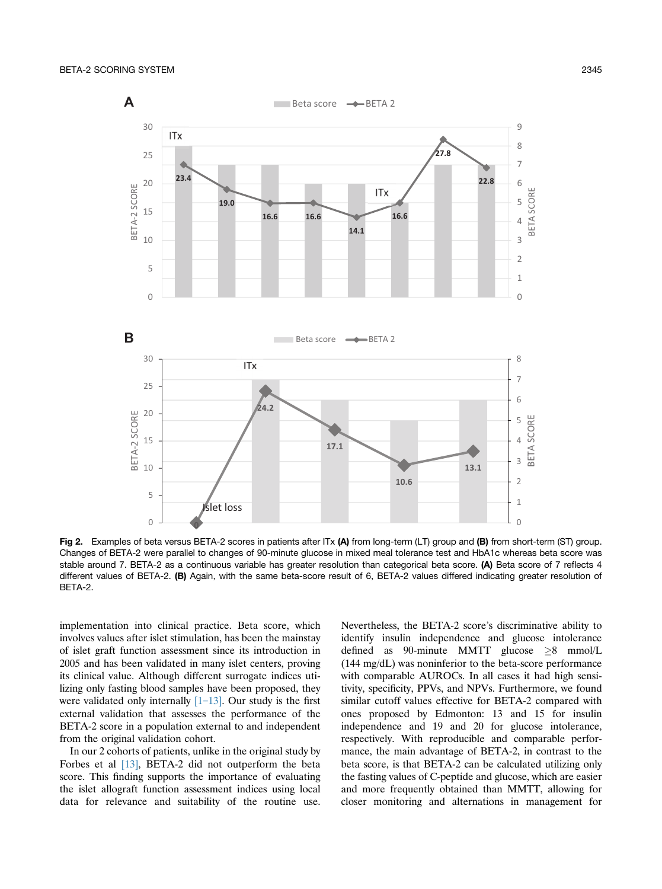<span id="page-5-0"></span>

Fig 2. Examples of beta versus BETA-2 scores in patients after ITx  $(A)$  from long-term (LT) group and (B) from short-term (ST) group. Changes of BETA-2 were parallel to changes of 90-minute glucose in mixed meal tolerance test and HbA1c whereas beta score was stable around 7. BETA-2 as a continuous variable has greater resolution than categorical beta score. (A) Beta score of 7 reflects 4 different values of BETA-2. (B) Again, with the same beta-score result of 6, BETA-2 values differed indicating greater resolution of BETA-2.

implementation into clinical practice. Beta score, which involves values after islet stimulation, has been the mainstay of islet graft function assessment since its introduction in 2005 and has been validated in many islet centers, proving its clinical value. Although different surrogate indices utilizing only fasting blood samples have been proposed, they were validated only internally  $[1-13]$  $[1-13]$ . Our study is the first external validation that assesses the performance of the BETA-2 score in a population external to and independent from the original validation cohort.

In our 2 cohorts of patients, unlike in the original study by Forbes et al [\[13\]](#page-6-0), BETA-2 did not outperform the beta score. This finding supports the importance of evaluating the islet allograft function assessment indices using local data for relevance and suitability of the routine use.

Nevertheless, the BETA-2 score's discriminative ability to identify insulin independence and glucose intolerance defined as 90-minute MMTT glucose  $\geq 8$  mmol/L (144 mg/dL) was noninferior to the beta-score performance with comparable AUROCs. In all cases it had high sensitivity, specificity, PPVs, and NPVs. Furthermore, we found similar cutoff values effective for BETA-2 compared with ones proposed by Edmonton: 13 and 15 for insulin independence and 19 and 20 for glucose intolerance, respectively. With reproducible and comparable performance, the main advantage of BETA-2, in contrast to the beta score, is that BETA-2 can be calculated utilizing only the fasting values of C-peptide and glucose, which are easier and more frequently obtained than MMTT, allowing for closer monitoring and alternations in management for